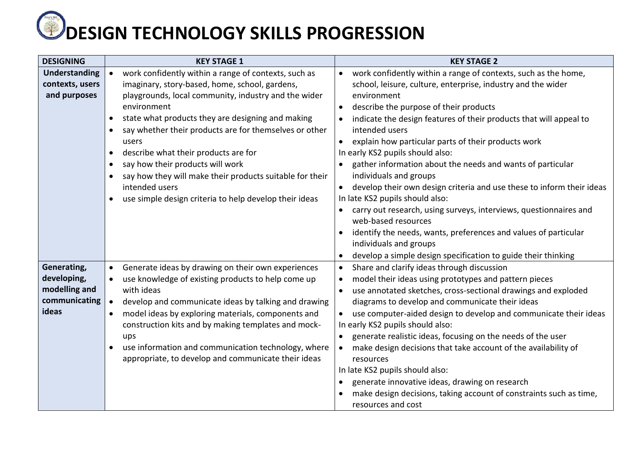## **WDESIGN TECHNOLOGY SKILLS PROGRESSION**

| <b>DESIGNING</b>               | <b>KEY STAGE 1</b>                                                                                                      | <b>KEY STAGE 2</b>                                                                                                  |
|--------------------------------|-------------------------------------------------------------------------------------------------------------------------|---------------------------------------------------------------------------------------------------------------------|
| Understanding                  | work confidently within a range of contexts, such as                                                                    | work confidently within a range of contexts, such as the home,<br>$\bullet$                                         |
| contexts, users                | imaginary, story-based, home, school, gardens,                                                                          | school, leisure, culture, enterprise, industry and the wider                                                        |
| and purposes                   | playgrounds, local community, industry and the wider<br>environment                                                     | environment<br>describe the purpose of their products<br>$\bullet$                                                  |
|                                | state what products they are designing and making<br>$\bullet$                                                          | indicate the design features of their products that will appeal to                                                  |
|                                | say whether their products are for themselves or other<br>$\bullet$                                                     | intended users                                                                                                      |
|                                | users                                                                                                                   | explain how particular parts of their products work<br>$\bullet$                                                    |
|                                | describe what their products are for<br>$\bullet$                                                                       | In early KS2 pupils should also:                                                                                    |
|                                | say how their products will work<br>$\bullet$                                                                           | gather information about the needs and wants of particular                                                          |
|                                | say how they will make their products suitable for their<br>$\bullet$                                                   | individuals and groups                                                                                              |
|                                | intended users                                                                                                          | develop their own design criteria and use these to inform their ideas                                               |
|                                | use simple design criteria to help develop their ideas<br>$\bullet$                                                     | In late KS2 pupils should also:<br>carry out research, using surveys, interviews, questionnaires and                |
|                                |                                                                                                                         | web-based resources                                                                                                 |
|                                |                                                                                                                         | identify the needs, wants, preferences and values of particular                                                     |
|                                |                                                                                                                         | individuals and groups                                                                                              |
|                                |                                                                                                                         | develop a simple design specification to guide their thinking<br>٠                                                  |
| Generating,                    | Generate ideas by drawing on their own experiences<br>$\bullet$                                                         | Share and clarify ideas through discussion<br>$\bullet$                                                             |
| developing,                    | use knowledge of existing products to help come up                                                                      | model their ideas using prototypes and pattern pieces<br>٠                                                          |
| modelling and<br>communicating | with ideas                                                                                                              | use annotated sketches, cross-sectional drawings and exploded<br>$\bullet$                                          |
| ideas                          | develop and communicate ideas by talking and drawing<br>model ideas by exploring materials, components and<br>$\bullet$ | diagrams to develop and communicate their ideas<br>use computer-aided design to develop and communicate their ideas |
|                                | construction kits and by making templates and mock-                                                                     | In early KS2 pupils should also:                                                                                    |
|                                | ups                                                                                                                     | generate realistic ideas, focusing on the needs of the user<br>$\bullet$                                            |
|                                | use information and communication technology, where<br>$\bullet$                                                        | make design decisions that take account of the availability of                                                      |
|                                | appropriate, to develop and communicate their ideas                                                                     | resources                                                                                                           |
|                                |                                                                                                                         | In late KS2 pupils should also:                                                                                     |
|                                |                                                                                                                         | generate innovative ideas, drawing on research                                                                      |
|                                |                                                                                                                         | make design decisions, taking account of constraints such as time,                                                  |
|                                |                                                                                                                         | resources and cost                                                                                                  |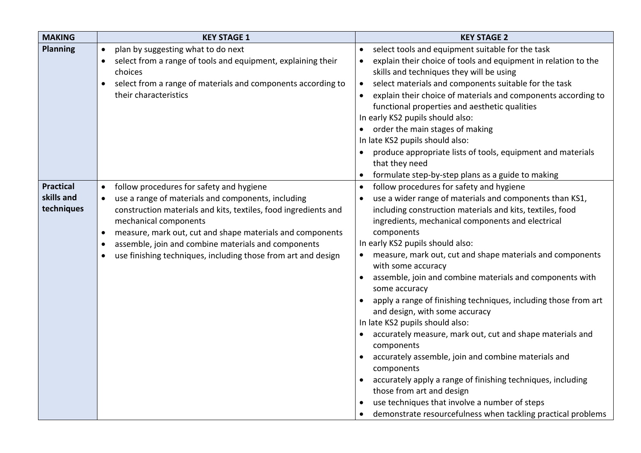| <b>MAKING</b>    | <b>KEY STAGE 1</b>                                                        | <b>KEY STAGE 2</b>                                                                     |
|------------------|---------------------------------------------------------------------------|----------------------------------------------------------------------------------------|
| <b>Planning</b>  | plan by suggesting what to do next<br>$\bullet$                           | select tools and equipment suitable for the task<br>$\bullet$                          |
|                  | select from a range of tools and equipment, explaining their<br>$\bullet$ | explain their choice of tools and equipment in relation to the<br>$\bullet$            |
|                  | choices                                                                   | skills and techniques they will be using                                               |
|                  | select from a range of materials and components according to<br>$\bullet$ | select materials and components suitable for the task<br>$\bullet$                     |
|                  | their characteristics                                                     | explain their choice of materials and components according to<br>$\bullet$             |
|                  |                                                                           | functional properties and aesthetic qualities                                          |
|                  |                                                                           | In early KS2 pupils should also:                                                       |
|                  |                                                                           | order the main stages of making                                                        |
|                  |                                                                           | In late KS2 pupils should also:                                                        |
|                  |                                                                           | produce appropriate lists of tools, equipment and materials                            |
|                  |                                                                           | that they need                                                                         |
|                  |                                                                           | formulate step-by-step plans as a guide to making                                      |
| <b>Practical</b> | follow procedures for safety and hygiene<br>$\bullet$                     | follow procedures for safety and hygiene<br>$\bullet$                                  |
| skills and       | use a range of materials and components, including                        | use a wider range of materials and components than KS1,                                |
| techniques       | construction materials and kits, textiles, food ingredients and           | including construction materials and kits, textiles, food                              |
|                  | mechanical components                                                     | ingredients, mechanical components and electrical                                      |
|                  | measure, mark out, cut and shape materials and components<br>$\bullet$    | components                                                                             |
|                  | assemble, join and combine materials and components<br>$\bullet$          | In early KS2 pupils should also:                                                       |
|                  | use finishing techniques, including those from art and design             | measure, mark out, cut and shape materials and components                              |
|                  |                                                                           | with some accuracy                                                                     |
|                  |                                                                           | assemble, join and combine materials and components with<br>$\bullet$<br>some accuracy |
|                  |                                                                           | apply a range of finishing techniques, including those from art                        |
|                  |                                                                           | and design, with some accuracy                                                         |
|                  |                                                                           | In late KS2 pupils should also:                                                        |
|                  |                                                                           | accurately measure, mark out, cut and shape materials and<br>$\bullet$                 |
|                  |                                                                           | components                                                                             |
|                  |                                                                           | accurately assemble, join and combine materials and                                    |
|                  |                                                                           | components                                                                             |
|                  |                                                                           | accurately apply a range of finishing techniques, including                            |
|                  |                                                                           | those from art and design                                                              |
|                  |                                                                           | use techniques that involve a number of steps                                          |
|                  |                                                                           | demonstrate resourcefulness when tackling practical problems                           |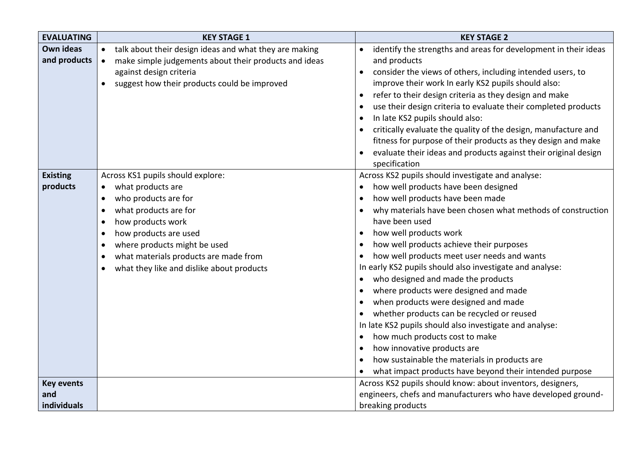| <b>EVALUATING</b> | <b>KEY STAGE 1</b>                                                  | <b>KEY STAGE 2</b>                                                           |
|-------------------|---------------------------------------------------------------------|------------------------------------------------------------------------------|
| Own ideas         | talk about their design ideas and what they are making<br>$\bullet$ | identify the strengths and areas for development in their ideas<br>$\bullet$ |
| and products      | make simple judgements about their products and ideas<br>$\bullet$  | and products                                                                 |
|                   | against design criteria                                             | consider the views of others, including intended users, to                   |
|                   | suggest how their products could be improved<br>$\bullet$           | improve their work In early KS2 pupils should also:                          |
|                   |                                                                     | refer to their design criteria as they design and make<br>$\bullet$          |
|                   |                                                                     | use their design criteria to evaluate their completed products               |
|                   |                                                                     | In late KS2 pupils should also:                                              |
|                   |                                                                     | critically evaluate the quality of the design, manufacture and               |
|                   |                                                                     | fitness for purpose of their products as they design and make                |
|                   |                                                                     | evaluate their ideas and products against their original design              |
|                   |                                                                     | specification                                                                |
| <b>Existing</b>   | Across KS1 pupils should explore:                                   | Across KS2 pupils should investigate and analyse:                            |
| products          | what products are<br>$\bullet$                                      | how well products have been designed<br>$\bullet$                            |
|                   | who products are for<br>$\bullet$                                   | how well products have been made                                             |
|                   | what products are for<br>$\bullet$                                  | why materials have been chosen what methods of construction<br>$\bullet$     |
|                   | how products work<br>$\bullet$                                      | have been used                                                               |
|                   | how products are used<br>$\bullet$                                  | how well products work<br>$\bullet$                                          |
|                   | where products might be used<br>$\bullet$                           | how well products achieve their purposes                                     |
|                   | what materials products are made from<br>$\bullet$                  | how well products meet user needs and wants<br>$\bullet$                     |
|                   | what they like and dislike about products<br>$\bullet$              | In early KS2 pupils should also investigate and analyse:                     |
|                   |                                                                     | who designed and made the products                                           |
|                   |                                                                     | where products were designed and made                                        |
|                   |                                                                     | when products were designed and made                                         |
|                   |                                                                     | whether products can be recycled or reused                                   |
|                   |                                                                     | In late KS2 pupils should also investigate and analyse:                      |
|                   |                                                                     | how much products cost to make<br>$\bullet$                                  |
|                   |                                                                     | how innovative products are<br>$\bullet$                                     |
|                   |                                                                     | how sustainable the materials in products are                                |
|                   |                                                                     | what impact products have beyond their intended purpose                      |
| <b>Key events</b> |                                                                     | Across KS2 pupils should know: about inventors, designers,                   |
| and               |                                                                     | engineers, chefs and manufacturers who have developed ground-                |
| individuals       |                                                                     | breaking products                                                            |